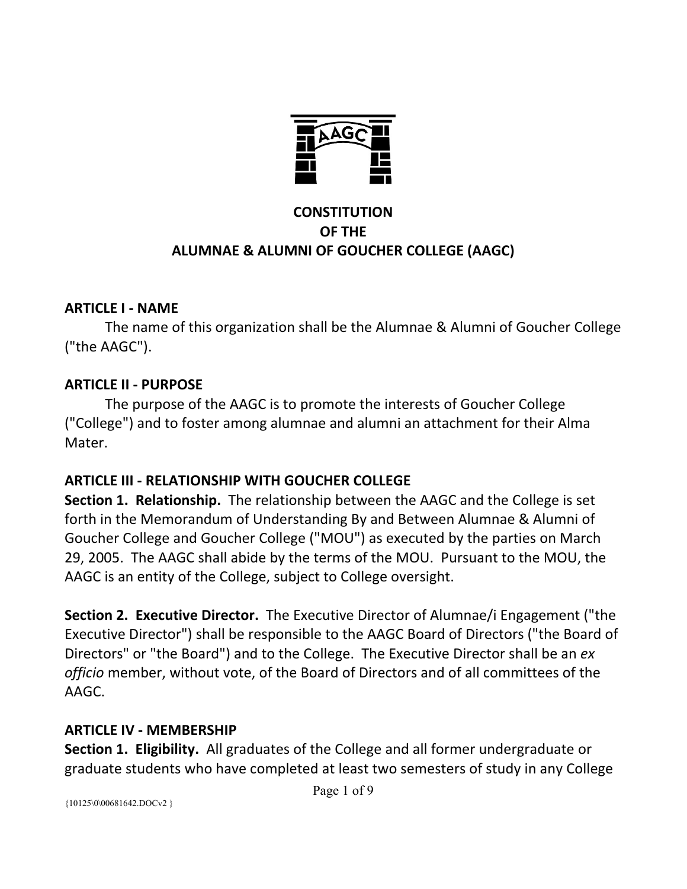

## **CONSTITUTION OF THE ALUMNAE & ALUMNI OF GOUCHER COLLEGE (AAGC)**

### **ARTICLE I ‐ NAME**

 The name of this organization shall be the Alumnae & Alumni of Goucher College ("the AAGC").

### **ARTICLE II ‐ PURPOSE**

 The purpose of the AAGC is to promote the interests of Goucher College ("College") and to foster among alumnae and alumni an attachment for their Alma Mater.

## **ARTICLE III ‐ RELATIONSHIP WITH GOUCHER COLLEGE**

**Section 1. Relationship.** The relationship between the AAGC and the College is set forth in the Memorandum of Understanding By and Between Alumnae & Alumni of Goucher College and Goucher College ("MOU") as executed by the parties on March 29, 2005. The AAGC shall abide by the terms of the MOU. Pursuant to the MOU, the AAGC is an entity of the College, subject to College oversight.

**Section 2. Executive Director.** The Executive Director of Alumnae/i Engagement ("the Executive Director") shall be responsible to the AAGC Board of Directors ("the Board of Directors" or "the Board") and to the College. The Executive Director shall be an *ex officio* member, without vote, of the Board of Directors and of all committees of the AAGC.

#### **ARTICLE IV ‐ MEMBERSHIP**

**Section 1. Eligibility.** All graduates of the College and all former undergraduate or graduate students who have completed at least two semesters of study in any College

{10125\0\00681642.DOCv2 }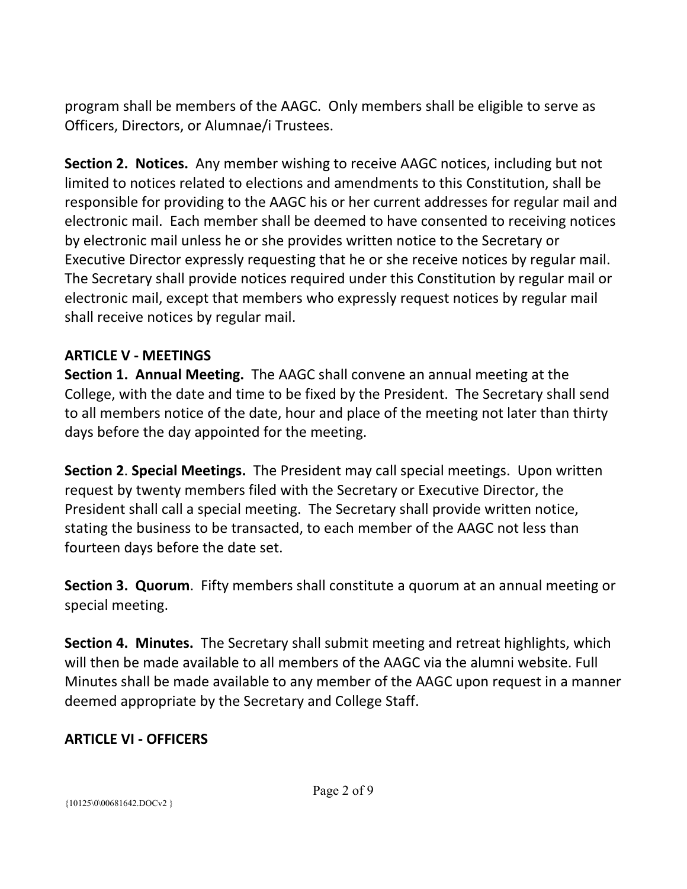program shall be members of the AAGC. Only members shall be eligible to serve as Officers, Directors, or Alumnae/i Trustees.

**Section 2. Notices.** Any member wishing to receive AAGC notices, including but not limited to notices related to elections and amendments to this Constitution, shall be responsible for providing to the AAGC his or her current addresses for regular mail and electronic mail. Each member shall be deemed to have consented to receiving notices by electronic mail unless he or she provides written notice to the Secretary or Executive Director expressly requesting that he or she receive notices by regular mail. The Secretary shall provide notices required under this Constitution by regular mail or electronic mail, except that members who expressly request notices by regular mail shall receive notices by regular mail.

### **ARTICLE V ‐ MEETINGS**

**Section 1. Annual Meeting.** The AAGC shall convene an annual meeting at the College, with the date and time to be fixed by the President. The Secretary shall send to all members notice of the date, hour and place of the meeting not later than thirty days before the day appointed for the meeting.

**Section 2**. **Special Meetings.** The President may call special meetings. Upon written request by twenty members filed with the Secretary or Executive Director, the President shall call a special meeting. The Secretary shall provide written notice, stating the business to be transacted, to each member of the AAGC not less than fourteen days before the date set.

**Section 3. Quorum**. Fifty members shall constitute a quorum at an annual meeting or special meeting.

**Section 4. Minutes.** The Secretary shall submit meeting and retreat highlights, which will then be made available to all members of the AAGC via the alumni website. Full Minutes shall be made available to any member of the AAGC upon request in a manner deemed appropriate by the Secretary and College Staff.

## **ARTICLE VI ‐ OFFICERS**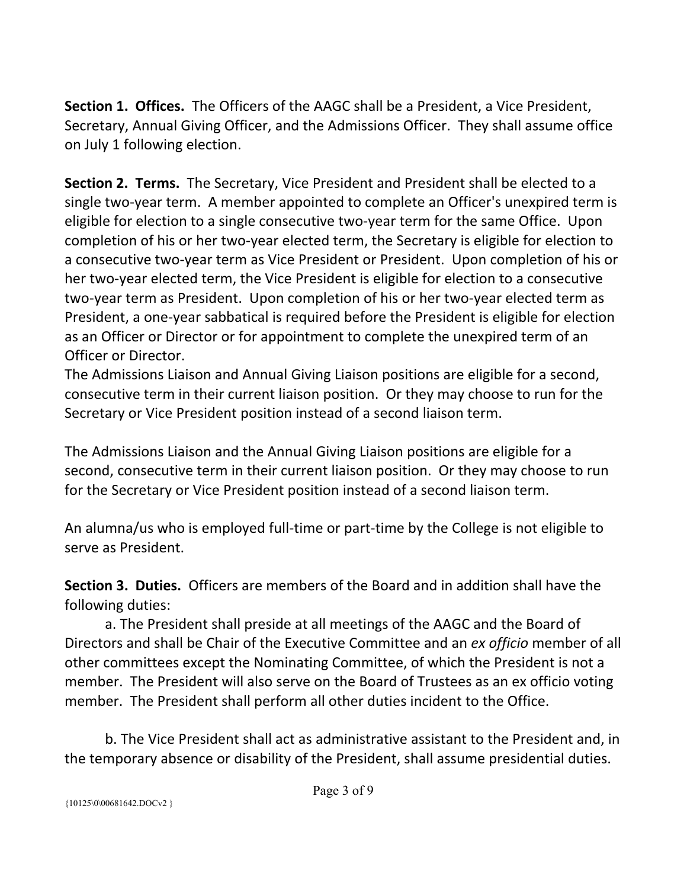**Section 1. Offices.** The Officers of the AAGC shall be a President, a Vice President, Secretary, Annual Giving Officer, and the Admissions Officer. They shall assume office on July 1 following election.

**Section 2. Terms.** The Secretary, Vice President and President shall be elected to a single two-year term. A member appointed to complete an Officer's unexpired term is eligible for election to a single consecutive two‐year term for the same Office. Upon completion of his or her two‐year elected term, the Secretary is eligible for election to a consecutive two‐year term as Vice President or President. Upon completion of his or her two‐year elected term, the Vice President is eligible for election to a consecutive two‐year term as President. Upon completion of his or her two‐year elected term as President, a one‐year sabbatical is required before the President is eligible for election as an Officer or Director or for appointment to complete the unexpired term of an Officer or Director.

The Admissions Liaison and Annual Giving Liaison positions are eligible for a second, consecutive term in their current liaison position. Or they may choose to run for the Secretary or Vice President position instead of a second liaison term.

The Admissions Liaison and the Annual Giving Liaison positions are eligible for a second, consecutive term in their current liaison position. Or they may choose to run for the Secretary or Vice President position instead of a second liaison term.

An alumna/us who is employed full‐time or part‐time by the College is not eligible to serve as President.

**Section 3. Duties.**  Officers are members of the Board and in addition shall have the following duties:

a. The President shall preside at all meetings of the AAGC and the Board of Directors and shall be Chair of the Executive Committee and an *ex officio* member of all other committees except the Nominating Committee, of which the President is not a member. The President will also serve on the Board of Trustees as an ex officio voting member. The President shall perform all other duties incident to the Office.

 b. The Vice President shall act as administrative assistant to the President and, in the temporary absence or disability of the President, shall assume presidential duties.

{10125\0\00681642.DOCv2 }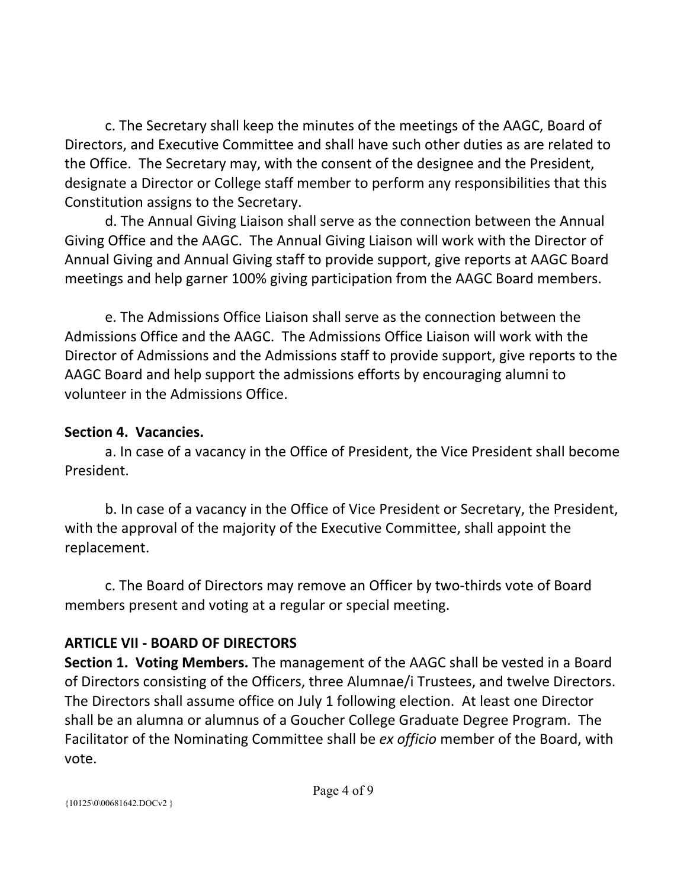c. The Secretary shall keep the minutes of the meetings of the AAGC, Board of Directors, and Executive Committee and shall have such other duties as are related to the Office. The Secretary may, with the consent of the designee and the President, designate a Director or College staff member to perform any responsibilities that this Constitution assigns to the Secretary.

 d. The Annual Giving Liaison shall serve as the connection between the Annual Giving Office and the AAGC. The Annual Giving Liaison will work with the Director of Annual Giving and Annual Giving staff to provide support, give reports at AAGC Board meetings and help garner 100% giving participation from the AAGC Board members.

 e. The Admissions Office Liaison shall serve as the connection between the Admissions Office and the AAGC. The Admissions Office Liaison will work with the Director of Admissions and the Admissions staff to provide support, give reports to the AAGC Board and help support the admissions efforts by encouraging alumni to volunteer in the Admissions Office.

## **Section 4. Vacancies.**

 a. In case of a vacancy in the Office of President, the Vice President shall become President.

 b. In case of a vacancy in the Office of Vice President or Secretary, the President, with the approval of the majority of the Executive Committee, shall appoint the replacement.

 c. The Board of Directors may remove an Officer by two‐thirds vote of Board members present and voting at a regular or special meeting.

# **ARTICLE VII ‐ BOARD OF DIRECTORS**

**Section 1. Voting Members.** The management of the AAGC shall be vested in a Board of Directors consisting of the Officers, three Alumnae/i Trustees, and twelve Directors. The Directors shall assume office on July 1 following election. At least one Director shall be an alumna or alumnus of a Goucher College Graduate Degree Program. The Facilitator of the Nominating Committee shall be *ex officio* member of the Board, with vote.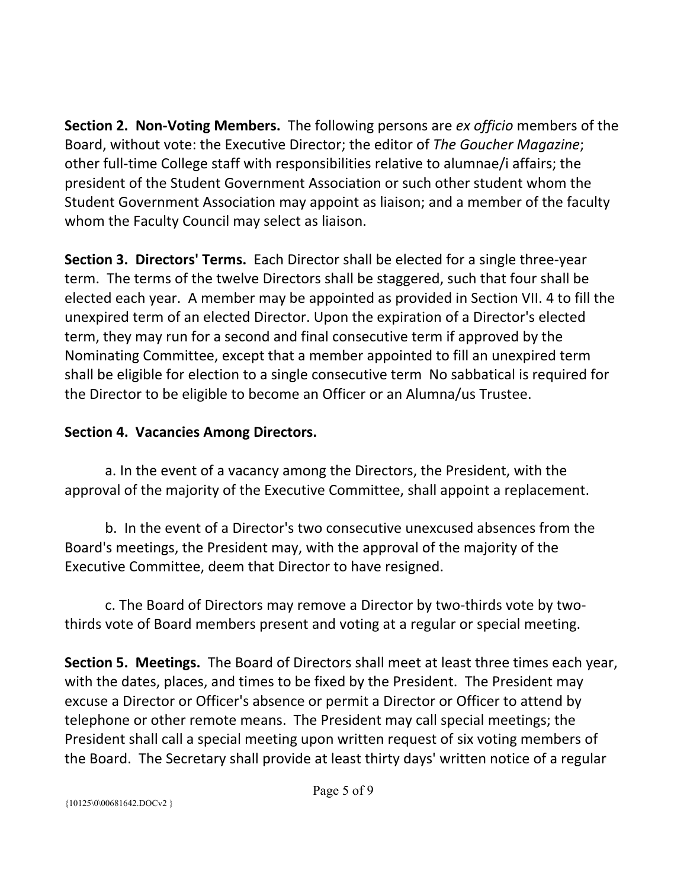**Section 2. Non‐Voting Members.** The following persons are *ex officio* members of the Board, without vote: the Executive Director; the editor of *The Goucher Magazine*; other full-time College staff with responsibilities relative to alumnae/i affairs; the president of the Student Government Association or such other student whom the Student Government Association may appoint as liaison; and a member of the faculty whom the Faculty Council may select as liaison.

**Section 3. Directors' Terms.**  Each Director shall be elected for a single three‐year term. The terms of the twelve Directors shall be staggered, such that four shall be elected each year. A member may be appointed as provided in Section VII. 4 to fill the unexpired term of an elected Director. Upon the expiration of a Director's elected term, they may run for a second and final consecutive term if approved by the Nominating Committee, except that a member appointed to fill an unexpired term shall be eligible for election to a single consecutive term No sabbatical is required for the Director to be eligible to become an Officer or an Alumna/us Trustee.

# **Section 4. Vacancies Among Directors.**

 a. In the event of a vacancy among the Directors, the President, with the approval of the majority of the Executive Committee, shall appoint a replacement.

 b. In the event of a Director's two consecutive unexcused absences from the Board's meetings, the President may, with the approval of the majority of the Executive Committee, deem that Director to have resigned.

 c. The Board of Directors may remove a Director by two‐thirds vote by two‐ thirds vote of Board members present and voting at a regular or special meeting.

**Section 5. Meetings.** The Board of Directors shall meet at least three times each year, with the dates, places, and times to be fixed by the President. The President may excuse a Director or Officer's absence or permit a Director or Officer to attend by telephone or other remote means. The President may call special meetings; the President shall call a special meeting upon written request of six voting members of the Board. The Secretary shall provide at least thirty days' written notice of a regular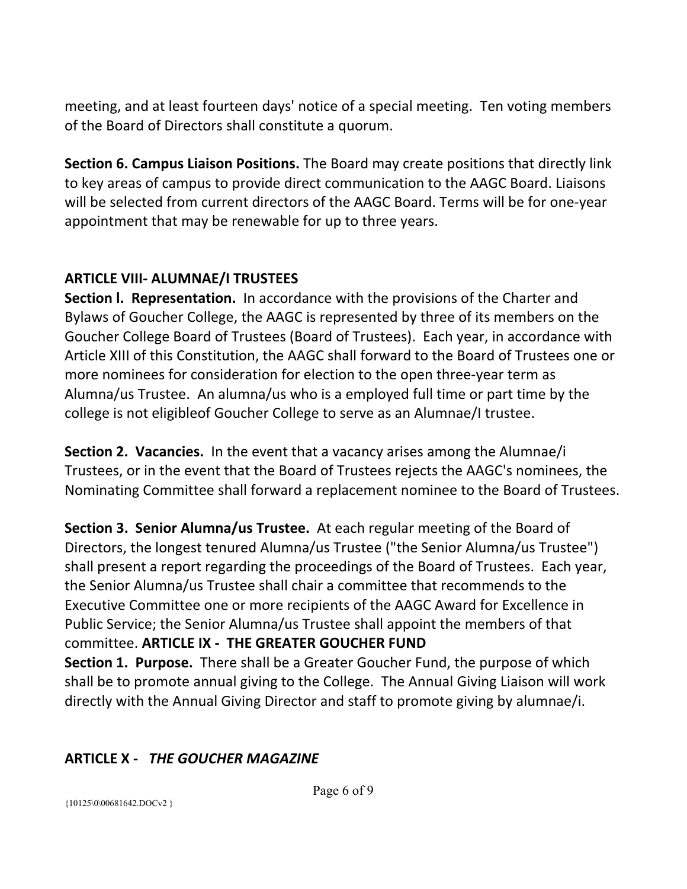meeting, and at least fourteen days' notice of a special meeting. Ten voting members of the Board of Directors shall constitute a quorum.

**Section 6. Campus Liaison Positions.** The Board may create positions that directly link to key areas of campus to provide direct communication to the AAGC Board. Liaisons will be selected from current directors of the AAGC Board. Terms will be for one‐year appointment that may be renewable for up to three years.

# **ARTICLE VIII‐ ALUMNAE/I TRUSTEES**

**Section I. Representation.** In accordance with the provisions of the Charter and Bylaws of Goucher College, the AAGC is represented by three of its members on the Goucher College Board of Trustees (Board of Trustees). Each year, in accordance with Article XIII of this Constitution, the AAGC shall forward to the Board of Trustees one or more nominees for consideration for election to the open three‐year term as Alumna/us Trustee. An alumna/us who is a employed full time or part time by the college is not eligibleof Goucher College to serve as an Alumnae/I trustee.

**Section 2. Vacancies.** In the event that a vacancy arises among the Alumnae/i Trustees, or in the event that the Board of Trustees rejects the AAGC's nominees, the Nominating Committee shall forward a replacement nominee to the Board of Trustees.

**Section 3. Senior Alumna/us Trustee.** At each regular meeting of the Board of Directors, the longest tenured Alumna/us Trustee ("the Senior Alumna/us Trustee") shall present a report regarding the proceedings of the Board of Trustees. Each year, the Senior Alumna/us Trustee shall chair a committee that recommends to the Executive Committee one or more recipients of the AAGC Award for Excellence in Public Service; the Senior Alumna/us Trustee shall appoint the members of that committee. **ARTICLE IX ‐ THE GREATER GOUCHER FUND Section 1. Purpose.** There shall be a Greater Goucher Fund, the purpose of which shall be to promote annual giving to the College. The Annual Giving Liaison will work

directly with the Annual Giving Director and staff to promote giving by alumnae/i.

## **ARTICLE X ‐** *THE GOUCHER MAGAZINE*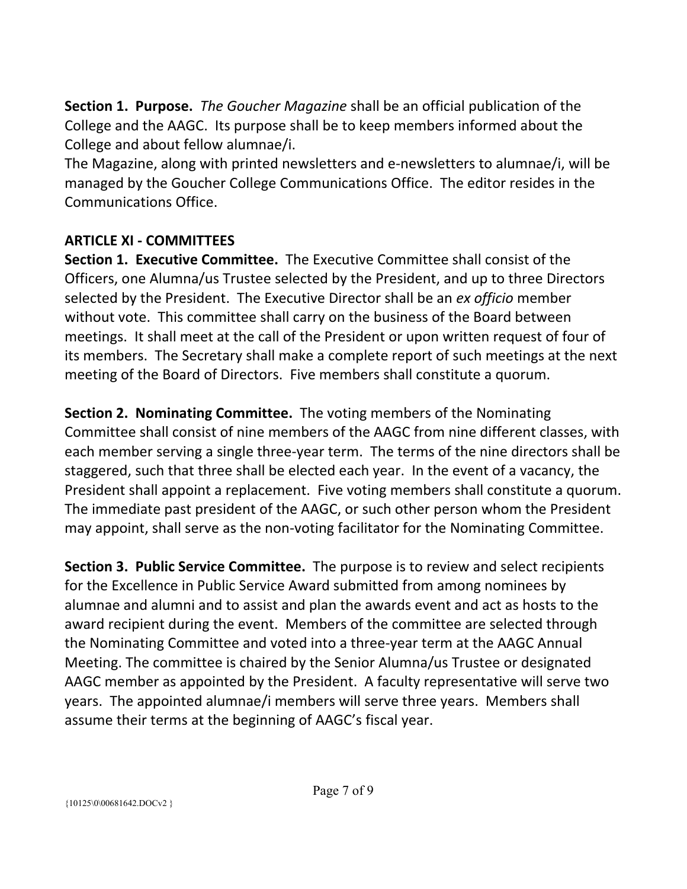**Section 1. Purpose.**  *The Goucher Magazine* shall be an official publication of the College and the AAGC. Its purpose shall be to keep members informed about the College and about fellow alumnae/i.

The Magazine, along with printed newsletters and e‐newsletters to alumnae/i, will be managed by the Goucher College Communications Office. The editor resides in the Communications Office.

# **ARTICLE XI ‐ COMMITTEES**

**Section 1. Executive Committee.** The Executive Committee shall consist of the Officers, one Alumna/us Trustee selected by the President, and up to three Directors selected by the President. The Executive Director shall be an *ex officio* member without vote. This committee shall carry on the business of the Board between meetings. It shall meet at the call of the President or upon written request of four of its members. The Secretary shall make a complete report of such meetings at the next meeting of the Board of Directors. Five members shall constitute a quorum.

**Section 2. Nominating Committee.** The voting members of the Nominating Committee shall consist of nine members of the AAGC from nine different classes, with each member serving a single three‐year term. The terms of the nine directors shall be staggered, such that three shall be elected each year. In the event of a vacancy, the President shall appoint a replacement. Five voting members shall constitute a quorum. The immediate past president of the AAGC, or such other person whom the President may appoint, shall serve as the non‐voting facilitator for the Nominating Committee.

**Section 3. Public Service Committee.** The purpose is to review and select recipients for the Excellence in Public Service Award submitted from among nominees by alumnae and alumni and to assist and plan the awards event and act as hosts to the award recipient during the event. Members of the committee are selected through the Nominating Committee and voted into a three‐year term at the AAGC Annual Meeting. The committee is chaired by the Senior Alumna/us Trustee or designated AAGC member as appointed by the President. A faculty representative will serve two years. The appointed alumnae/i members will serve three years. Members shall assume their terms at the beginning of AAGC's fiscal year.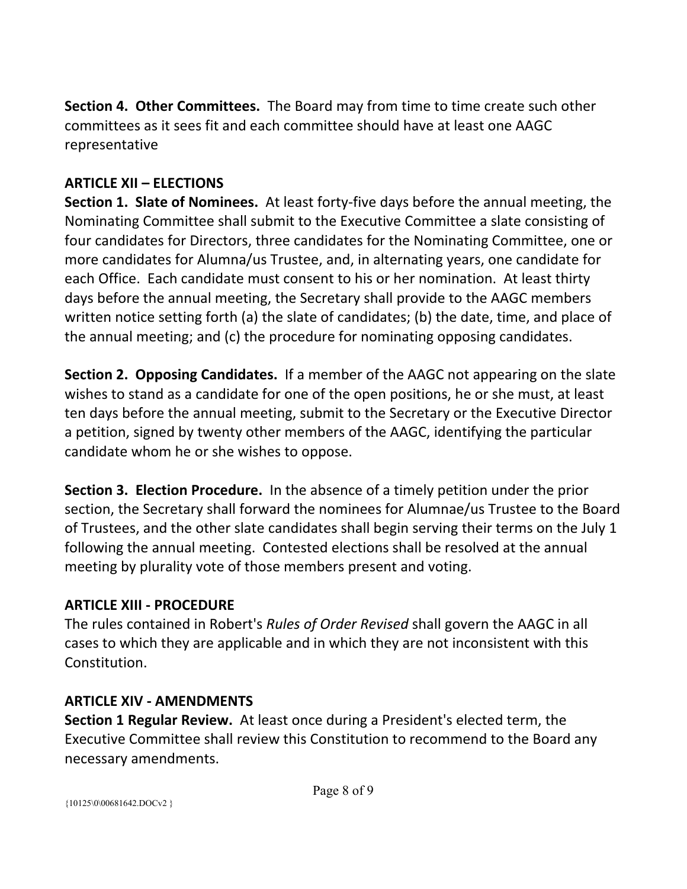**Section 4. Other Committees.** The Board may from time to time create such other committees as it sees fit and each committee should have at least one AAGC representative

# **ARTICLE XII – ELECTIONS**

**Section 1. Slate of Nominees.** At least forty-five days before the annual meeting, the Nominating Committee shall submit to the Executive Committee a slate consisting of four candidates for Directors, three candidates for the Nominating Committee, one or more candidates for Alumna/us Trustee, and, in alternating years, one candidate for each Office. Each candidate must consent to his or her nomination. At least thirty days before the annual meeting, the Secretary shall provide to the AAGC members written notice setting forth (a) the slate of candidates; (b) the date, time, and place of the annual meeting; and (c) the procedure for nominating opposing candidates.

**Section 2. Opposing Candidates.** If a member of the AAGC not appearing on the slate wishes to stand as a candidate for one of the open positions, he or she must, at least ten days before the annual meeting, submit to the Secretary or the Executive Director a petition, signed by twenty other members of the AAGC, identifying the particular candidate whom he or she wishes to oppose.

**Section 3. Election Procedure.** In the absence of a timely petition under the prior section, the Secretary shall forward the nominees for Alumnae/us Trustee to the Board of Trustees, and the other slate candidates shall begin serving their terms on the July 1 following the annual meeting. Contested elections shall be resolved at the annual meeting by plurality vote of those members present and voting.

## **ARTICLE XIII ‐ PROCEDURE**

The rules contained in Robert's *Rules of Order Revised* shall govern the AAGC in all cases to which they are applicable and in which they are not inconsistent with this Constitution.

## **ARTICLE XIV ‐ AMENDMENTS**

**Section 1 Regular Review.** At least once during a President's elected term, the Executive Committee shall review this Constitution to recommend to the Board any necessary amendments.